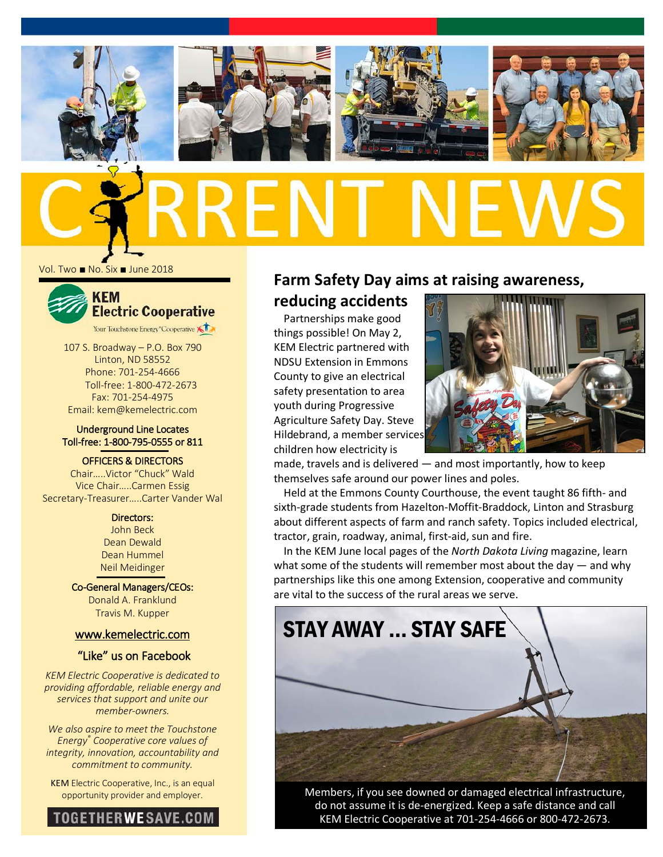

Vol. Two ■ No. Six ■ June 2018



107 S. Broadway – P.O. Box 790 Linton, ND 58552 Phone: 701-254-4666 Toll-free: 1-800-472-2673 Fax: 701-254-4975 Email: kem@kemelectric.com

#### Underground Line Locates Toll-free: 1-800-795-0555 or 811

OFFICERS & DIRECTORS Chair…..Victor "Chuck" Wald

Vice Chair…..Carmen Essig Secretary-Treasurer…..Carter Vander Wal

> Directors: John Beck Dean Dewald Dean Hummel Neil Meidinger

Co-General Managers/CEOs: Donald A. Franklund Travis M. Kupper

#### [www.kemelectric.com](http://www.kemelectric.com/)

#### "Like" us on Facebook

*KEM Electric Cooperative is dedicated to providing affordable, reliable energy and services that support and unite our member-owners.*

*We also aspire to meet the Touchstone Energy® Cooperative core values of integrity, innovation, accountability and commitment to community.*

KEM Electric Cooperative, Inc., is an equal opportunity provider and employer.



## **Farm Safety Day aims at raising awareness,**

### **reducing accidents**

Partnerships make good things possible! On May 2, KEM Electric partnered with NDSU Extension in Emmons County to give an electrical safety presentation to area youth during Progressive Agriculture Safety Day. Steve Hildebrand, a member services children how electricity is



made, travels and is delivered — and most importantly, how to keep themselves safe around our power lines and poles.

Held at the Emmons County Courthouse, the event taught 86 fifth- and sixth-grade students from Hazelton-Moffit-Braddock, Linton and Strasburg about different aspects of farm and ranch safety. Topics included electrical, tractor, grain, roadway, animal, first-aid, sun and fire.

In the KEM June local pages of the *North Dakota Living* magazine, learn what some of the students will remember most about the day  $-$  and why partnerships like this one among Extension, cooperative and community are vital to the success of the rural areas we serve.



Members, if you see downed or damaged electrical infrastructure, do not assume it is de-energized. Keep a safe distance and call KEM Electric Cooperative at 701-254-4666 or 800-472-2673.